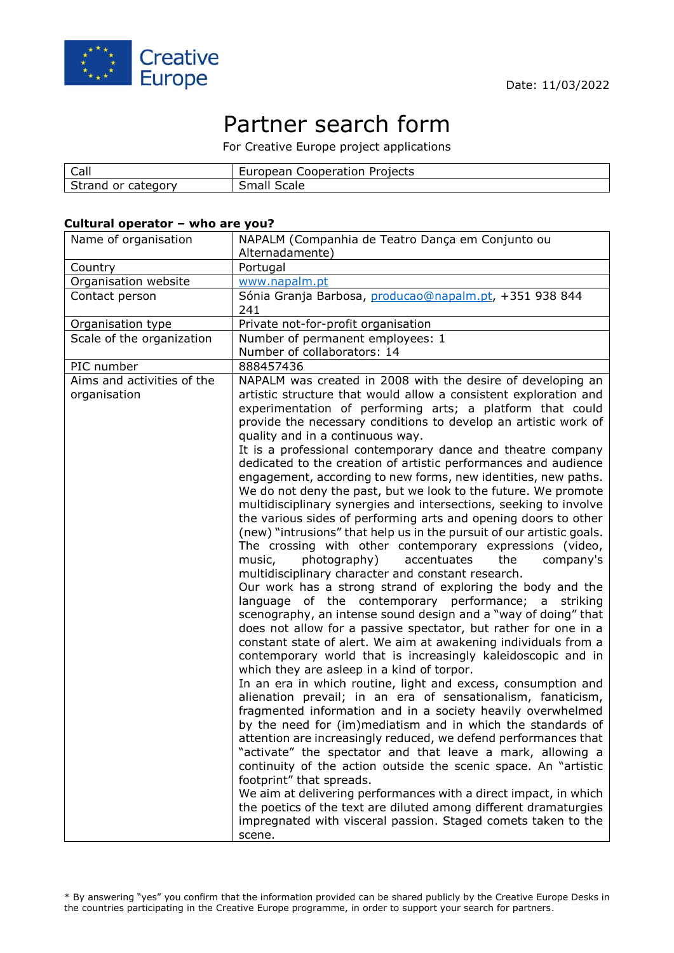

# Partner search form

For Creative Europe project applications

| Call        | Projects<br>European<br>Cooperation |
|-------------|-------------------------------------|
| Strand      | Small                               |
| or category | Scale                               |

#### **Cultural operator – who are you?**

| Name of organisation                       | NAPALM (Companhia de Teatro Dança em Conjunto ou<br>Alternadamente)                                                                                                                                                                                                                                                                                                                                                                                                                                                                                                                                                                                                                                                                                                                                                                                                                                                                                                                                                                                                                                                                                                                                                                                                                                                                                                                                                                                                                                                                                                                                                                                                                                                                                                                                                    |  |  |  |  |
|--------------------------------------------|------------------------------------------------------------------------------------------------------------------------------------------------------------------------------------------------------------------------------------------------------------------------------------------------------------------------------------------------------------------------------------------------------------------------------------------------------------------------------------------------------------------------------------------------------------------------------------------------------------------------------------------------------------------------------------------------------------------------------------------------------------------------------------------------------------------------------------------------------------------------------------------------------------------------------------------------------------------------------------------------------------------------------------------------------------------------------------------------------------------------------------------------------------------------------------------------------------------------------------------------------------------------------------------------------------------------------------------------------------------------------------------------------------------------------------------------------------------------------------------------------------------------------------------------------------------------------------------------------------------------------------------------------------------------------------------------------------------------------------------------------------------------------------------------------------------------|--|--|--|--|
| Country                                    | Portugal                                                                                                                                                                                                                                                                                                                                                                                                                                                                                                                                                                                                                                                                                                                                                                                                                                                                                                                                                                                                                                                                                                                                                                                                                                                                                                                                                                                                                                                                                                                                                                                                                                                                                                                                                                                                               |  |  |  |  |
| Organisation website                       | www.napalm.pt                                                                                                                                                                                                                                                                                                                                                                                                                                                                                                                                                                                                                                                                                                                                                                                                                                                                                                                                                                                                                                                                                                                                                                                                                                                                                                                                                                                                                                                                                                                                                                                                                                                                                                                                                                                                          |  |  |  |  |
| Contact person                             | Sónia Granja Barbosa, producao@napalm.pt, +351 938 844                                                                                                                                                                                                                                                                                                                                                                                                                                                                                                                                                                                                                                                                                                                                                                                                                                                                                                                                                                                                                                                                                                                                                                                                                                                                                                                                                                                                                                                                                                                                                                                                                                                                                                                                                                 |  |  |  |  |
|                                            | 241                                                                                                                                                                                                                                                                                                                                                                                                                                                                                                                                                                                                                                                                                                                                                                                                                                                                                                                                                                                                                                                                                                                                                                                                                                                                                                                                                                                                                                                                                                                                                                                                                                                                                                                                                                                                                    |  |  |  |  |
| Organisation type                          | Private not-for-profit organisation                                                                                                                                                                                                                                                                                                                                                                                                                                                                                                                                                                                                                                                                                                                                                                                                                                                                                                                                                                                                                                                                                                                                                                                                                                                                                                                                                                                                                                                                                                                                                                                                                                                                                                                                                                                    |  |  |  |  |
| Scale of the organization                  | Number of permanent employees: 1                                                                                                                                                                                                                                                                                                                                                                                                                                                                                                                                                                                                                                                                                                                                                                                                                                                                                                                                                                                                                                                                                                                                                                                                                                                                                                                                                                                                                                                                                                                                                                                                                                                                                                                                                                                       |  |  |  |  |
|                                            | Number of collaborators: 14                                                                                                                                                                                                                                                                                                                                                                                                                                                                                                                                                                                                                                                                                                                                                                                                                                                                                                                                                                                                                                                                                                                                                                                                                                                                                                                                                                                                                                                                                                                                                                                                                                                                                                                                                                                            |  |  |  |  |
| PIC number                                 | 888457436                                                                                                                                                                                                                                                                                                                                                                                                                                                                                                                                                                                                                                                                                                                                                                                                                                                                                                                                                                                                                                                                                                                                                                                                                                                                                                                                                                                                                                                                                                                                                                                                                                                                                                                                                                                                              |  |  |  |  |
| Aims and activities of the<br>organisation | NAPALM was created in 2008 with the desire of developing an<br>artistic structure that would allow a consistent exploration and<br>experimentation of performing arts; a platform that could                                                                                                                                                                                                                                                                                                                                                                                                                                                                                                                                                                                                                                                                                                                                                                                                                                                                                                                                                                                                                                                                                                                                                                                                                                                                                                                                                                                                                                                                                                                                                                                                                           |  |  |  |  |
|                                            | provide the necessary conditions to develop an artistic work of<br>quality and in a continuous way.                                                                                                                                                                                                                                                                                                                                                                                                                                                                                                                                                                                                                                                                                                                                                                                                                                                                                                                                                                                                                                                                                                                                                                                                                                                                                                                                                                                                                                                                                                                                                                                                                                                                                                                    |  |  |  |  |
|                                            | It is a professional contemporary dance and theatre company<br>dedicated to the creation of artistic performances and audience<br>engagement, according to new forms, new identities, new paths.<br>We do not deny the past, but we look to the future. We promote<br>multidisciplinary synergies and intersections, seeking to involve<br>the various sides of performing arts and opening doors to other<br>(new) "intrusions" that help us in the pursuit of our artistic goals.<br>The crossing with other contemporary expressions (video,<br>photography)<br>accentuates<br>company's<br>music,<br>the<br>multidisciplinary character and constant research.<br>Our work has a strong strand of exploring the body and the<br>language of the contemporary performance; a striking<br>scenography, an intense sound design and a "way of doing" that<br>does not allow for a passive spectator, but rather for one in a<br>constant state of alert. We aim at awakening individuals from a<br>contemporary world that is increasingly kaleidoscopic and in<br>which they are asleep in a kind of torpor.<br>In an era in which routine, light and excess, consumption and<br>alienation prevail; in an era of sensationalism, fanaticism,<br>fragmented information and in a society heavily overwhelmed<br>by the need for (im)mediatism and in which the standards of<br>attention are increasingly reduced, we defend performances that<br>"activate" the spectator and that leave a mark, allowing a<br>continuity of the action outside the scenic space. An "artistic<br>footprint" that spreads.<br>We aim at delivering performances with a direct impact, in which<br>the poetics of the text are diluted among different dramaturgies<br>impregnated with visceral passion. Staged comets taken to the |  |  |  |  |
|                                            | scene.                                                                                                                                                                                                                                                                                                                                                                                                                                                                                                                                                                                                                                                                                                                                                                                                                                                                                                                                                                                                                                                                                                                                                                                                                                                                                                                                                                                                                                                                                                                                                                                                                                                                                                                                                                                                                 |  |  |  |  |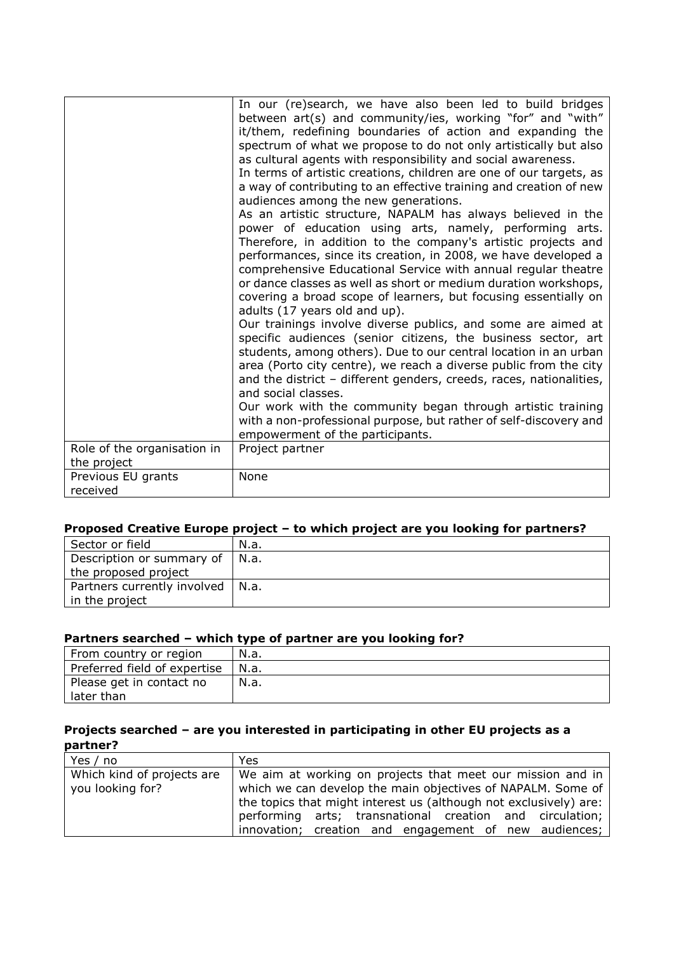|                             | In our (re)search, we have also been led to build bridges<br>between art(s) and community/ies, working "for" and "with"<br>it/them, redefining boundaries of action and expanding the<br>spectrum of what we propose to do not only artistically but also<br>as cultural agents with responsibility and social awareness.<br>In terms of artistic creations, children are one of our targets, as<br>a way of contributing to an effective training and creation of new<br>audiences among the new generations.<br>As an artistic structure, NAPALM has always believed in the<br>power of education using arts, namely, performing arts.<br>Therefore, in addition to the company's artistic projects and<br>performances, since its creation, in 2008, we have developed a<br>comprehensive Educational Service with annual regular theatre<br>or dance classes as well as short or medium duration workshops,<br>covering a broad scope of learners, but focusing essentially on<br>adults (17 years old and up).<br>Our trainings involve diverse publics, and some are aimed at<br>specific audiences (senior citizens, the business sector, art<br>students, among others). Due to our central location in an urban<br>area (Porto city centre), we reach a diverse public from the city<br>and the district - different genders, creeds, races, nationalities,<br>and social classes.<br>Our work with the community began through artistic training<br>with a non-professional purpose, but rather of self-discovery and<br>empowerment of the participants. |
|-----------------------------|---------------------------------------------------------------------------------------------------------------------------------------------------------------------------------------------------------------------------------------------------------------------------------------------------------------------------------------------------------------------------------------------------------------------------------------------------------------------------------------------------------------------------------------------------------------------------------------------------------------------------------------------------------------------------------------------------------------------------------------------------------------------------------------------------------------------------------------------------------------------------------------------------------------------------------------------------------------------------------------------------------------------------------------------------------------------------------------------------------------------------------------------------------------------------------------------------------------------------------------------------------------------------------------------------------------------------------------------------------------------------------------------------------------------------------------------------------------------------------------------------------------------------------------------------------------------|
| Role of the organisation in | Project partner                                                                                                                                                                                                                                                                                                                                                                                                                                                                                                                                                                                                                                                                                                                                                                                                                                                                                                                                                                                                                                                                                                                                                                                                                                                                                                                                                                                                                                                                                                                                                     |
| the project                 |                                                                                                                                                                                                                                                                                                                                                                                                                                                                                                                                                                                                                                                                                                                                                                                                                                                                                                                                                                                                                                                                                                                                                                                                                                                                                                                                                                                                                                                                                                                                                                     |
| Previous EU grants          | None                                                                                                                                                                                                                                                                                                                                                                                                                                                                                                                                                                                                                                                                                                                                                                                                                                                                                                                                                                                                                                                                                                                                                                                                                                                                                                                                                                                                                                                                                                                                                                |
| received                    |                                                                                                                                                                                                                                                                                                                                                                                                                                                                                                                                                                                                                                                                                                                                                                                                                                                                                                                                                                                                                                                                                                                                                                                                                                                                                                                                                                                                                                                                                                                                                                     |

## **Proposed Creative Europe project – to which project are you looking for partners?**

| Sector or field                    | N.a. |
|------------------------------------|------|
| Description or summary of          | N.a. |
| the proposed project               |      |
| Partners currently involved   N.a. |      |
| in the project                     |      |

### **Partners searched – which type of partner are you looking for?**

| From country or region       | N.a. |
|------------------------------|------|
| Preferred field of expertise | N.a. |
| Please get in contact no     | N.a. |
| later than                   |      |

## **Projects searched – are you interested in participating in other EU projects as a partner?**

| Yes / no                   | Yes.                                                              |
|----------------------------|-------------------------------------------------------------------|
| Which kind of projects are | We aim at working on projects that meet our mission and in        |
| you looking for?           | which we can develop the main objectives of NAPALM. Some of       |
|                            | the topics that might interest us (although not exclusively) are: |
|                            | performing arts; transnational creation and circulation;          |
|                            | innovation; creation and engagement of new audiences;             |